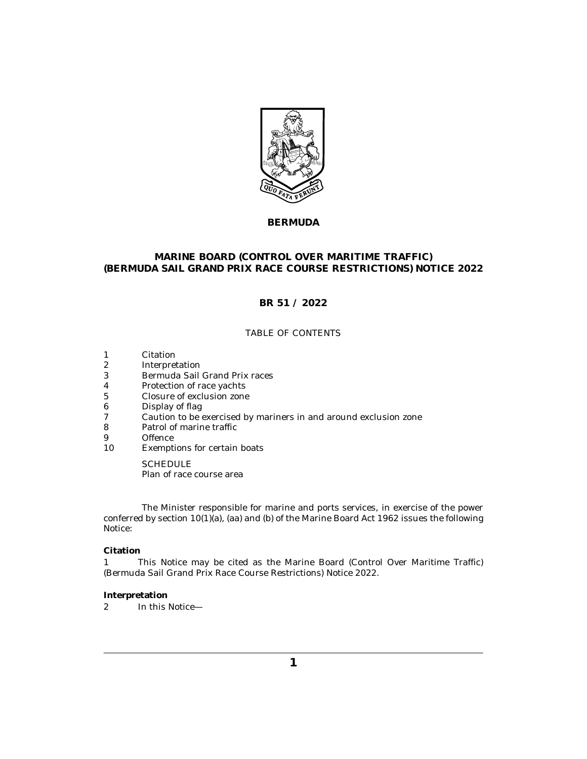

## **BERMUDA**

## **MARINE BOARD (CONTROL OVER MARITIME TRAFFIC) (BERMUDA SAIL GRAND PRIX RACE COURSE RESTRICTIONS) NOTICE 2022**

# **BR 51 / 2022**

## TABLE OF CONTENTS

- Citation 1
- Interpretation 2
- [Bermuda Sail Grand Prix races](#page-1-0) 3
- [Protection of race yachts](#page-1-0) 4
- [Closure of exclusion zone](#page-1-0) 5
- [Display of flag](#page-1-0) 6
- [Caution to be exercised by mariners in and around exclusion zone](#page-2-0) 7
- [Patrol of marine traffic](#page-2-0) 8
- **[Offence](#page-2-0)** 9
- [Exemptions for certain boats](#page-2-0) 10

**SCHEDULE** [Plan of race course area](#page-3-0)

The Minister responsible for marine and ports services, in exercise of the power conferred by section 10(1)(a), (aa) and (b) of the Marine Board Act 1962 issues the following Notice:

### **Citation**

This Notice may be cited as the Marine Board (Control Over Maritime Traffic) (Bermuda Sail Grand Prix Race Course Restrictions) Notice 2022. 1

### **Interpretation**

In this Notice— 2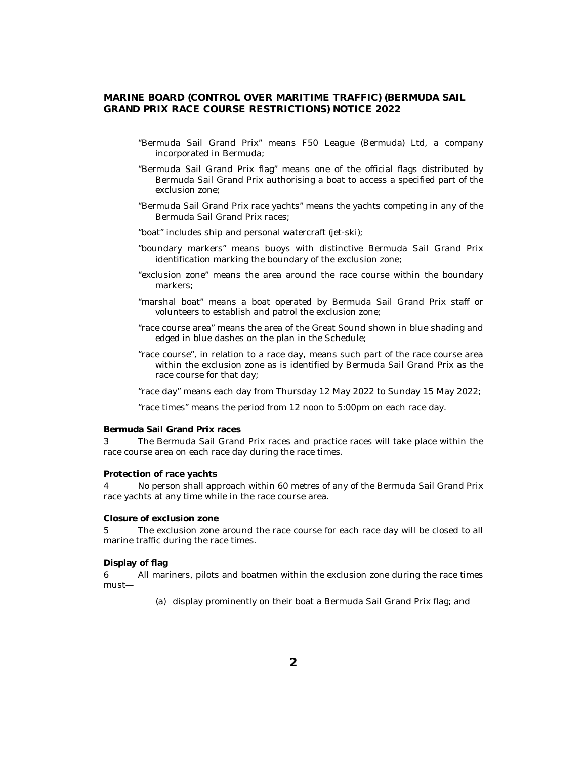- <span id="page-1-0"></span>"Bermuda Sail Grand Prix" means F50 League (Bermuda) Ltd, a company incorporated in Bermuda;
- "Bermuda Sail Grand Prix flag" means one of the official flags distributed by Bermuda Sail Grand Prix authorising a boat to access a specified part of the exclusion zone;
- "Bermuda Sail Grand Prix race yachts" means the yachts competing in any of the Bermuda Sail Grand Prix races;
- "boat" includes ship and personal watercraft (jet-ski);
- "boundary markers" means buoys with distinctive Bermuda Sail Grand Prix identification marking the boundary of the exclusion zone;
- "exclusion zone" means the area around the race course within the boundary markers;
- "marshal boat" means a boat operated by Bermuda Sail Grand Prix staff or volunteers to establish and patrol the exclusion zone;
- "race course area" means the area of the Great Sound shown in blue shading and edged in blue dashes on the plan in the Schedule;
- "race course", in relation to a race day, means such part of the race course area within the exclusion zone as is identified by Bermuda Sail Grand Prix as the race course for that day;
- "race day" means each day from Thursday 12 May 2022 to Sunday 15 May 2022;

"race times" means the period from 12 noon to 5:00pm on each race day.

### **Bermuda Sail Grand Prix races**

The Bermuda Sail Grand Prix races and practice races will take place within the race course area on each race day during the race times. 3

#### **Protection of race yachts**

No person shall approach within 60 metres of any of the Bermuda Sail Grand Prix race yachts at any time while in the race course area. 4

**Closure of exclusion zone**

The exclusion zone around the race course for each race day will be closed to all marine traffic during the race times. 5

#### **Display of flag**

All mariners, pilots and boatmen within the exclusion zone during the race times must— 6

(a) display prominently on their boat a Bermuda Sail Grand Prix flag; and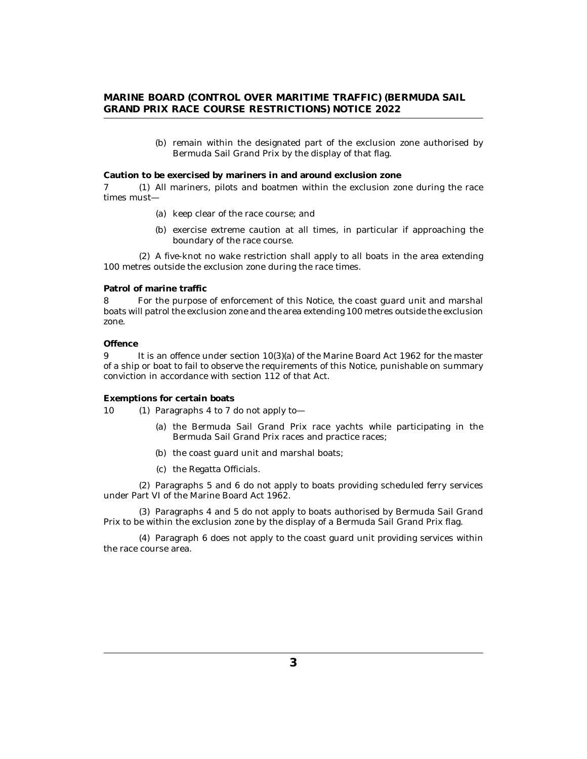(b) remain within the designated part of the exclusion zone authorised by Bermuda Sail Grand Prix by the display of that flag.

<span id="page-2-0"></span>**Caution to be exercised by mariners in and around exclusion zone**

7 (1) All mariners, pilots and boatmen within the exclusion zone during the race times must—

- (a) keep clear of the race course; and
- (b) exercise extreme caution at all times, in particular if approaching the boundary of the race course.

A five-knot no wake restriction shall apply to all boats in the area extending (2) 100 metres outside the exclusion zone during the race times.

#### **Patrol of marine traffic**

For the purpose of enforcement of this Notice, the coast guard unit and marshal boats will patrol the exclusion zone and the area extending 100 metres outside the exclusion zone. 8

### **Offence**

It is an offence under section 10(3)(a) of the Marine Board Act 1962 for the master of a ship or boat to fail to observe the requirements of this Notice, punishable on summary conviction in accordance with section 112 of that Act. 9

**Exemptions for certain boats**

- 10 (1) Paragraphs 4 to 7 do not apply to-
	- (a) the Bermuda Sail Grand Prix race yachts while participating in the Bermuda Sail Grand Prix races and practice races;
	- (b) the coast guard unit and marshal boats;
	- (c) the Regatta Officials.

Paragraphs 5 and 6 do not apply to boats providing scheduled ferry services (2) under Part VI of the Marine Board Act 1962.

Paragraphs 4 and 5 do not apply to boats authorised by Bermuda Sail Grand (3) Prix to be within the exclusion zone by the display of a Bermuda Sail Grand Prix flag.

Paragraph 6 does not apply to the coast guard unit providing services within (4) the race course area.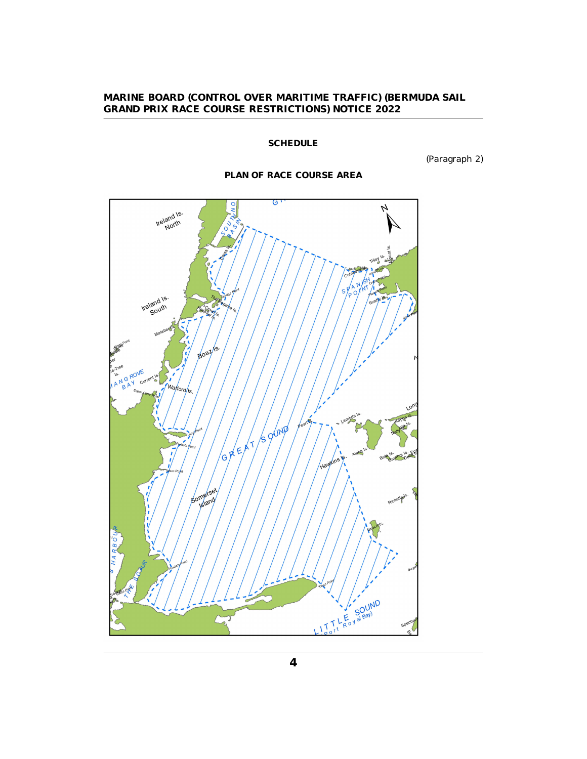## **SCHEDULE**

(Paragraph 2)

## **PLAN OF RACE COURSE AREA**

<span id="page-3-0"></span>

**4**